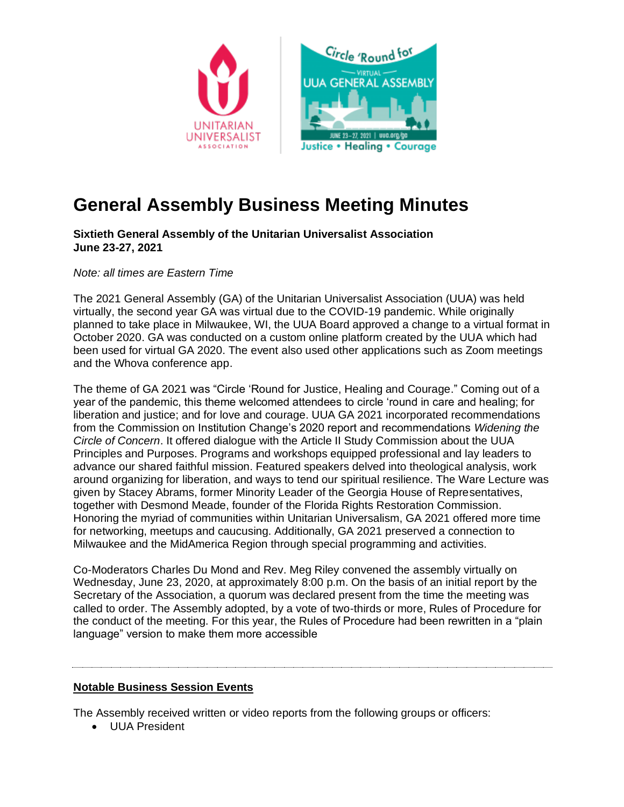

# **General Assembly Business Meeting Minutes**

**Sixtieth General Assembly of the Unitarian Universalist Association June 23-27, 2021**

*Note: all times are Eastern Time*

The 2021 General Assembly (GA) of the Unitarian Universalist Association (UUA) was held virtually, the second year GA was virtual due to the COVID-19 pandemic. While originally planned to take place in Milwaukee, WI, the UUA Board approved a change to a virtual format in October 2020. GA was conducted on a custom online platform created by the UUA which had been used for virtual GA 2020. The event also used other applications such as Zoom meetings and the Whova conference app.

The theme of GA 2021 was "Circle 'Round for Justice, Healing and Courage." Coming out of a year of the pandemic, this theme welcomed attendees to circle 'round in care and healing; for liberation and justice; and for love and courage. UUA GA 2021 incorporated recommendations from the Commission on Institution Change's 2020 report and recommendations *Widening the Circle of Concern*. It offered dialogue with the Article II Study Commission about the UUA Principles and Purposes. Programs and workshops equipped professional and lay leaders to advance our shared faithful mission. Featured speakers delved into theological analysis, work around organizing for liberation, and ways to tend our spiritual resilience. The Ware Lecture was given by Stacey Abrams, former Minority Leader of the Georgia House of Representatives, together with Desmond Meade, founder of the Florida Rights Restoration Commission. Honoring the myriad of communities within Unitarian Universalism, GA 2021 offered more time for networking, meetups and caucusing. Additionally, GA 2021 preserved a connection to Milwaukee and the MidAmerica Region through special programming and activities.

Co-Moderators Charles Du Mond and Rev. Meg Riley convened the assembly virtually on Wednesday, June 23, 2020, at approximately 8:00 p.m. On the basis of an initial report by the Secretary of the Association, a quorum was declared present from the time the meeting was called to order. The Assembly adopted, by a vote of two-thirds or more, Rules of Procedure for the conduct of the meeting. For this year, the Rules of Procedure had been rewritten in a "plain language" version to make them more accessible

## **Notable Business Session Events**

The Assembly received written or video reports from the following groups or officers:

• UUA President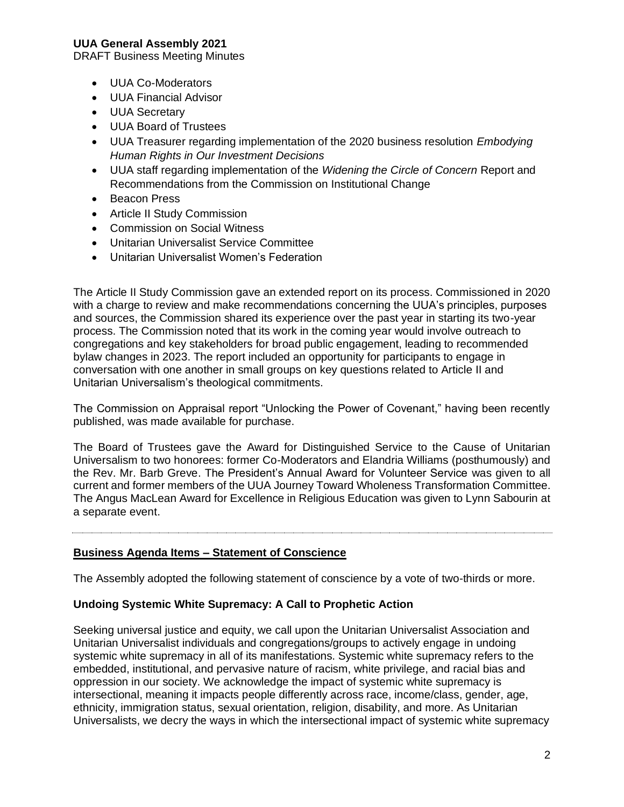DRAFT Business Meeting Minutes

- UUA Co-Moderators
- UUA Financial Advisor
- UUA Secretary
- UUA Board of Trustees
- UUA Treasurer regarding implementation of the 2020 business resolution *Embodying Human Rights in Our Investment Decisions*
- UUA staff regarding implementation of the *Widening the Circle of Concern* Report and Recommendations from the Commission on Institutional Change
- Beacon Press
- Article II Study Commission
- Commission on Social Witness
- Unitarian Universalist Service Committee
- Unitarian Universalist Women's Federation

The Article II Study Commission gave an extended report on its process. Commissioned in 2020 with a charge to review and make recommendations concerning the UUA's principles, purposes and sources, the Commission shared its experience over the past year in starting its two-year process. The Commission noted that its work in the coming year would involve outreach to congregations and key stakeholders for broad public engagement, leading to recommended bylaw changes in 2023. The report included an opportunity for participants to engage in conversation with one another in small groups on key questions related to Article II and Unitarian Universalism's theological commitments.

The Commission on Appraisal report "Unlocking the Power of Covenant," having been recently published, was made available for purchase.

The Board of Trustees gave the Award for Distinguished Service to the Cause of Unitarian Universalism to two honorees: former Co-Moderators and Elandria Williams (posthumously) and the Rev. Mr. Barb Greve. The President's Annual Award for Volunteer Service was given to all current and former members of the UUA Journey Toward Wholeness Transformation Committee. The Angus MacLean Award for Excellence in Religious Education was given to Lynn Sabourin at a separate event.

#### **Business Agenda Items – Statement of Conscience**

The Assembly adopted the following statement of conscience by a vote of two-thirds or more.

#### **Undoing Systemic White Supremacy: A Call to Prophetic Action**

Seeking universal justice and equity, we call upon the Unitarian Universalist Association and Unitarian Universalist individuals and congregations/groups to actively engage in undoing systemic white supremacy in all of its manifestations. Systemic white supremacy refers to the embedded, institutional, and pervasive nature of racism, white privilege, and racial bias and oppression in our society. We acknowledge the impact of systemic white supremacy is intersectional, meaning it impacts people differently across race, income/class, gender, age, ethnicity, immigration status, sexual orientation, religion, disability, and more. As Unitarian Universalists, we decry the ways in which the intersectional impact of systemic white supremacy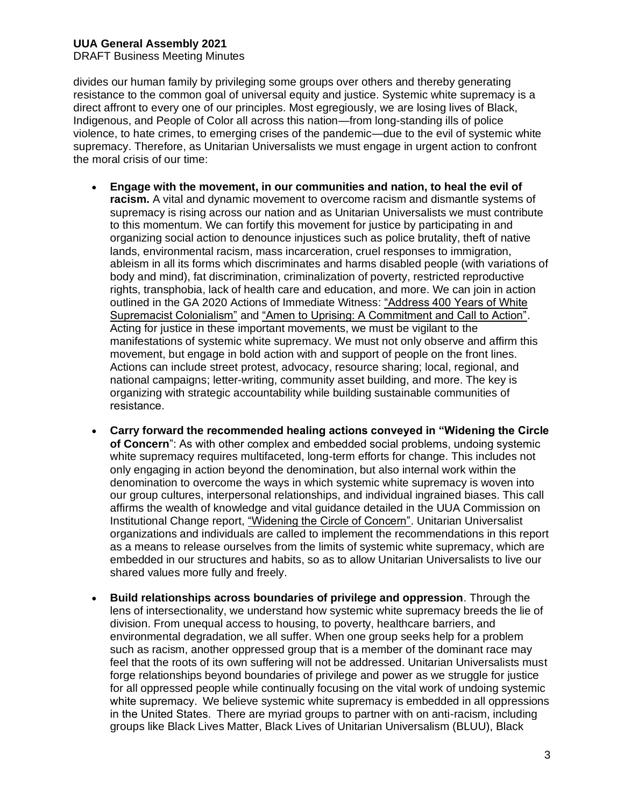DRAFT Business Meeting Minutes

divides our human family by privileging some groups over others and thereby generating resistance to the common goal of universal equity and justice. Systemic white supremacy is a direct affront to every one of our principles. Most egregiously, we are losing lives of Black, Indigenous, and People of Color all across this nation—from long-standing ills of police violence, to hate crimes, to emerging crises of the pandemic—due to the evil of systemic white supremacy. Therefore, as Unitarian Universalists we must engage in urgent action to confront the moral crisis of our time:

- **Engage with the movement, in our communities and nation, to heal the evil of racism.** A vital and dynamic movement to overcome racism and dismantle systems of supremacy is rising across our nation and as Unitarian Universalists we must contribute to this momentum. We can fortify this movement for justice by participating in and organizing social action to denounce injustices such as police brutality, theft of native lands, environmental racism, mass incarceration, cruel responses to immigration, ableism in all its forms which discriminates and harms disabled people (with variations of body and mind), fat discrimination, criminalization of poverty, restricted reproductive rights, transphobia, lack of health care and education, and more. We can join in action outlined in the GA 2020 Actions of Immediate Witness: ["Address 400 Years of White](https://www.uua.org/action/statements/address-400-years-white-supremacist-colonialism)  [Supremacist Colonialism"](https://www.uua.org/action/statements/address-400-years-white-supremacist-colonialism) and ["Amen to Uprising: A Commitment and Call to Action".](https://www.uua.org/action/statements/amen-uprising-commitment-and-call-action) Acting for justice in these important movements, we must be vigilant to the manifestations of systemic white supremacy. We must not only observe and affirm this movement, but engage in bold action with and support of people on the front lines. Actions can include street protest, advocacy, resource sharing; local, regional, and national campaigns; letter-writing, community asset building, and more. The key is organizing with strategic accountability while building sustainable communities of resistance.
- **Carry forward the recommended healing actions conveyed in "Widening the Circle of Concern**": As with other complex and embedded social problems, undoing systemic white supremacy requires multifaceted, long-term efforts for change. This includes not only engaging in action beyond the denomination, but also internal work within the denomination to overcome the ways in which systemic white supremacy is woven into our group cultures, interpersonal relationships, and individual ingrained biases. This call affirms the wealth of knowledge and vital guidance detailed in the UUA Commission on Institutional Change report, ["Widening the Circle of Concern".](https://www.uua.org/uuagovernance/committees/cic/widening) Unitarian Universalist organizations and individuals are called to implement the recommendations in this report as a means to release ourselves from the limits of systemic white supremacy, which are embedded in our structures and habits, so as to allow Unitarian Universalists to live our shared values more fully and freely.
- **Build relationships across boundaries of privilege and oppression**. Through the lens of intersectionality, we understand how systemic white supremacy breeds the lie of division. From unequal access to housing, to poverty, healthcare barriers, and environmental degradation, we all suffer. When one group seeks help for a problem such as racism, another oppressed group that is a member of the dominant race may feel that the roots of its own suffering will not be addressed. Unitarian Universalists must forge relationships beyond boundaries of privilege and power as we struggle for justice for all oppressed people while continually focusing on the vital work of undoing systemic white supremacy.  We believe systemic white supremacy is embedded in all oppressions in the United States.  There are myriad groups to partner with on anti-racism, including groups like Black Lives Matter, Black Lives of Unitarian Universalism (BLUU), Black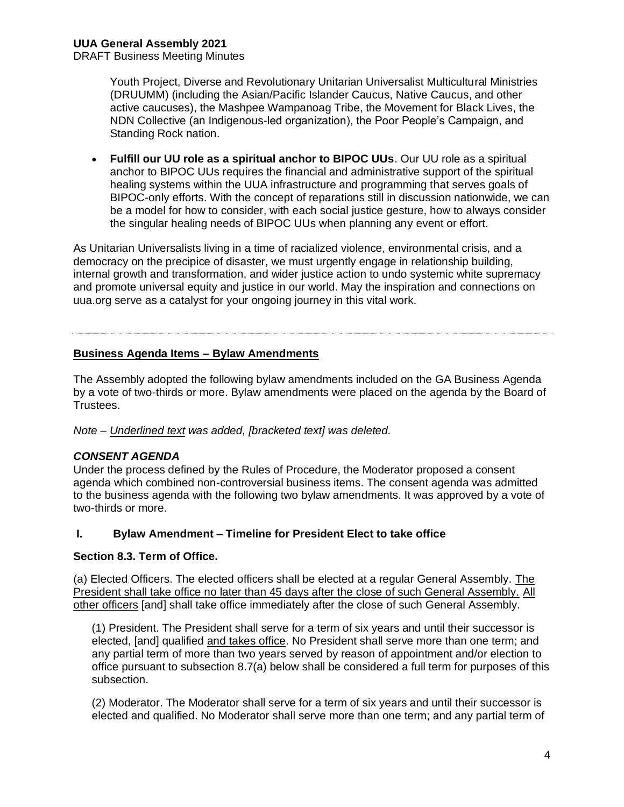DRAFT Business Meeting Minutes

Youth Project, Diverse and Revolutionary Unitarian Universalist Multicultural Ministries (DRUUMM) (including the Asian/Pacific Islander Caucus, Native Caucus, and other active caucuses), the Mashpee Wampanoag Tribe, the Movement for Black Lives, the NDN Collective (an Indigenous-led organization), the Poor People's Campaign, and Standing Rock nation.

• **Fulfill our UU role as a spiritual anchor to BIPOC UUs**. Our UU role as a spiritual anchor to BIPOC UUs requires the financial and administrative support of the spiritual healing systems within the UUA infrastructure and programming that serves goals of BIPOC-only efforts. With the concept of reparations still in discussion nationwide, we can be a model for how to consider, with each social justice gesture, how to always consider the singular healing needs of BIPOC UUs when planning any event or effort.

As Unitarian Universalists living in a time of racialized violence, environmental crisis, and a democracy on the precipice of disaster, we must urgently engage in relationship building, internal growth and transformation, and wider justice action to undo systemic white supremacy and promote universal equity and justice in our world. May the inspiration and connections on uua.org serve as a catalyst for your ongoing journey in this vital work.

# **Business Agenda Items – Bylaw Amendments**

The Assembly adopted the following bylaw amendments included on the GA Business Agenda by a vote of two-thirds or more. Bylaw amendments were placed on the agenda by the Board of Trustees.

*Note – Underlined text was added, [bracketed text] was deleted.*

## *CONSENT AGENDA*

Under the process defined by the Rules of Procedure, the Moderator proposed a consent agenda which combined non-controversial business items. The consent agenda was admitted to the business agenda with the following two bylaw amendments. It was approved by a vote of two-thirds or more.

## **I. Bylaw Amendment – Timeline for President Elect to take office**

## **Section 8.3. Term of Office.**

(a) Elected Officers. The elected officers shall be elected at a regular General Assembly. The President shall take office no later than 45 days after the close of such General Assembly. All other officers [and] shall take office immediately after the close of such General Assembly.

(1) President. The President shall serve for a term of six years and until their successor is elected, [and] qualified and takes office. No President shall serve more than one term; and any partial term of more than two years served by reason of appointment and/or election to office pursuant to subsection 8.7(a) below shall be considered a full term for purposes of this subsection.

(2) Moderator. The Moderator shall serve for a term of six years and until their successor is elected and qualified. No Moderator shall serve more than one term; and any partial term of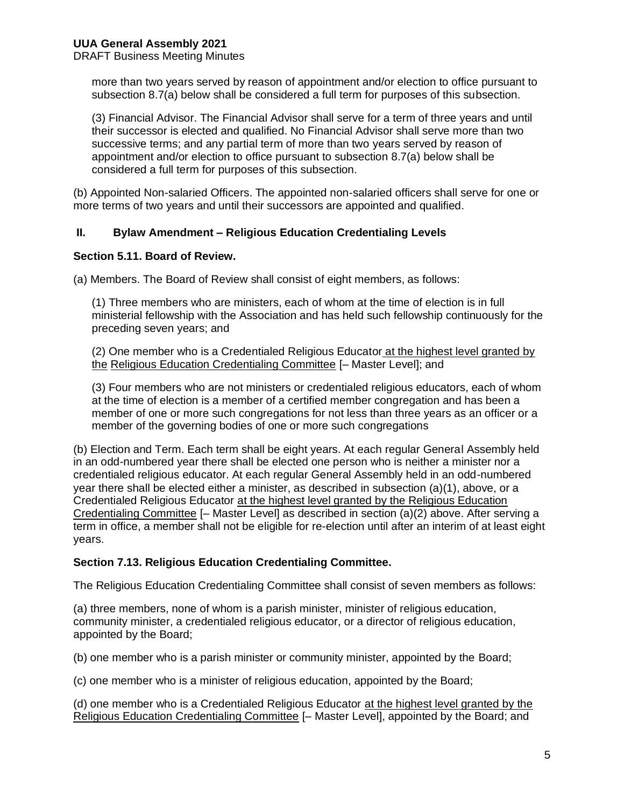DRAFT Business Meeting Minutes

more than two years served by reason of appointment and/or election to office pursuant to subsection 8.7(a) below shall be considered a full term for purposes of this subsection.

(3) Financial Advisor. The Financial Advisor shall serve for a term of three years and until their successor is elected and qualified. No Financial Advisor shall serve more than two successive terms; and any partial term of more than two years served by reason of appointment and/or election to office pursuant to subsection 8.7(a) below shall be considered a full term for purposes of this subsection.

(b) Appointed Non-salaried Officers. The appointed non-salaried officers shall serve for one or more terms of two years and until their successors are appointed and qualified.

#### **II. Bylaw Amendment – Religious Education Credentialing Levels**

#### **Section 5.11. Board of Review.**

(a) Members. The Board of Review shall consist of eight members, as follows:

(1) Three members who are ministers, each of whom at the time of election is in full ministerial fellowship with the Association and has held such fellowship continuously for the preceding seven years; and

(2) One member who is a Credentialed Religious Educator at the highest level granted by the Religious Education Credentialing Committee [– Master Level]; and

(3) Four members who are not ministers or credentialed religious educators, each of whom at the time of election is a member of a certified member congregation and has been a member of one or more such congregations for not less than three years as an officer or a member of the governing bodies of one or more such congregations

(b) Election and Term. Each term shall be eight years. At each regular General Assembly held in an odd-numbered year there shall be elected one person who is neither a minister nor a credentialed religious educator. At each regular General Assembly held in an odd-numbered year there shall be elected either a minister, as described in subsection (a)(1), above, or a Credentialed Religious Educator at the highest level granted by the Religious Education Credentialing Committee [– Master Level] as described in section (a)(2) above. After serving a term in office, a member shall not be eligible for re-election until after an interim of at least eight years.

#### **Section 7.13. Religious Education Credentialing Committee.**

The Religious Education Credentialing Committee shall consist of seven members as follows:

(a) three members, none of whom is a parish minister, minister of religious education, community minister, a credentialed religious educator, or a director of religious education, appointed by the Board;

(b) one member who is a parish minister or community minister, appointed by the Board;

(c) one member who is a minister of religious education, appointed by the Board;

(d) one member who is a Credentialed Religious Educator at the highest level granted by the Religious Education Credentialing Committee [– Master Level], appointed by the Board; and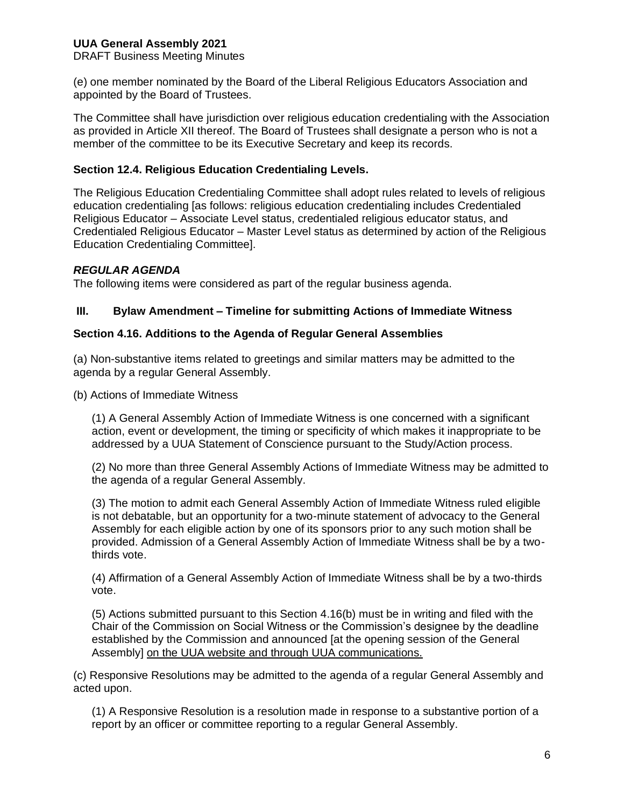DRAFT Business Meeting Minutes

(e) one member nominated by the Board of the Liberal Religious Educators Association and appointed by the Board of Trustees.

The Committee shall have jurisdiction over religious education credentialing with the Association as provided in Article XII thereof. The Board of Trustees shall designate a person who is not a member of the committee to be its Executive Secretary and keep its records.

#### **Section 12.4. Religious Education Credentialing Levels.**

The Religious Education Credentialing Committee shall adopt rules related to levels of religious education credentialing [as follows: religious education credentialing includes Credentialed Religious Educator – Associate Level status, credentialed religious educator status, and Credentialed Religious Educator – Master Level status as determined by action of the Religious Education Credentialing Committee].

## *REGULAR AGENDA*

The following items were considered as part of the regular business agenda.

## **III. Bylaw Amendment – Timeline for submitting Actions of Immediate Witness**

#### **Section 4.16. Additions to the Agenda of Regular General Assemblies**

(a) Non-substantive items related to greetings and similar matters may be admitted to the agenda by a regular General Assembly.

(b) Actions of Immediate Witness

(1) A General Assembly Action of Immediate Witness is one concerned with a significant action, event or development, the timing or specificity of which makes it inappropriate to be addressed by a UUA Statement of Conscience pursuant to the Study/Action process.

(2) No more than three General Assembly Actions of Immediate Witness may be admitted to the agenda of a regular General Assembly.

(3) The motion to admit each General Assembly Action of Immediate Witness ruled eligible is not debatable, but an opportunity for a two-minute statement of advocacy to the General Assembly for each eligible action by one of its sponsors prior to any such motion shall be provided. Admission of a General Assembly Action of Immediate Witness shall be by a twothirds vote.

(4) Affirmation of a General Assembly Action of Immediate Witness shall be by a two-thirds vote.

(5) Actions submitted pursuant to this Section 4.16(b) must be in writing and filed with the Chair of the Commission on Social Witness or the Commission's designee by the deadline established by the Commission and announced [at the opening session of the General Assembly] on the UUA website and through UUA communications.

(c) Responsive Resolutions may be admitted to the agenda of a regular General Assembly and acted upon.

(1) A Responsive Resolution is a resolution made in response to a substantive portion of a report by an officer or committee reporting to a regular General Assembly.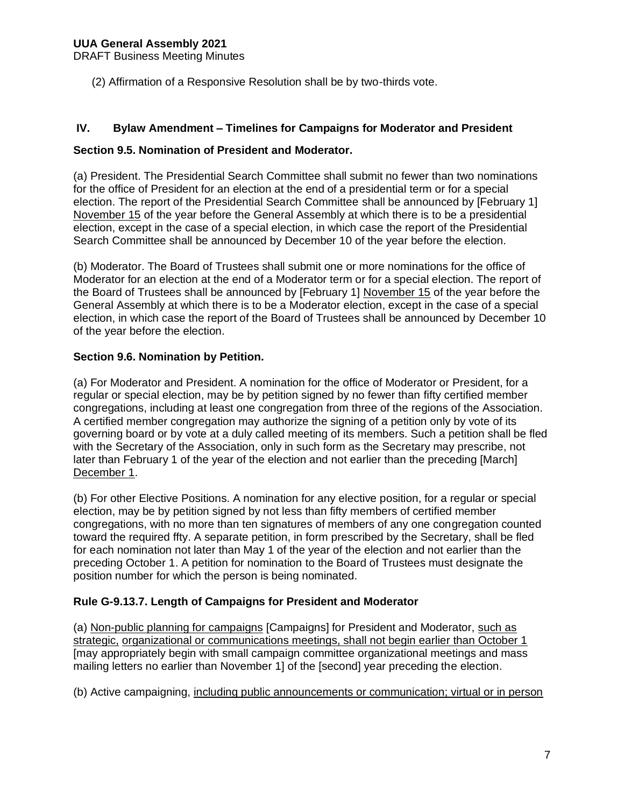DRAFT Business Meeting Minutes

(2) Affirmation of a Responsive Resolution shall be by two-thirds vote.

#### **IV. Bylaw Amendment – Timelines for Campaigns for Moderator and President**

#### **Section 9.5. Nomination of President and Moderator.**

(a) President. The Presidential Search Committee shall submit no fewer than two nominations for the office of President for an election at the end of a presidential term or for a special election. The report of the Presidential Search Committee shall be announced by [February 1] November 15 of the year before the General Assembly at which there is to be a presidential election, except in the case of a special election, in which case the report of the Presidential Search Committee shall be announced by December 10 of the year before the election.

(b) Moderator. The Board of Trustees shall submit one or more nominations for the office of Moderator for an election at the end of a Moderator term or for a special election. The report of the Board of Trustees shall be announced by [February 1] November 15 of the year before the General Assembly at which there is to be a Moderator election, except in the case of a special election, in which case the report of the Board of Trustees shall be announced by December 10 of the year before the election.

#### **Section 9.6. Nomination by Petition.**

(a) For Moderator and President. A nomination for the office of Moderator or President, for a regular or special election, may be by petition signed by no fewer than fifty certified member congregations, including at least one congregation from three of the regions of the Association. A certified member congregation may authorize the signing of a petition only by vote of its governing board or by vote at a duly called meeting of its members. Such a petition shall be fled with the Secretary of the Association, only in such form as the Secretary may prescribe, not later than February 1 of the year of the election and not earlier than the preceding [March] December 1.

(b) For other Elective Positions. A nomination for any elective position, for a regular or special election, may be by petition signed by not less than fifty members of certified member congregations, with no more than ten signatures of members of any one congregation counted toward the required ffty. A separate petition, in form prescribed by the Secretary, shall be fled for each nomination not later than May 1 of the year of the election and not earlier than the preceding October 1. A petition for nomination to the Board of Trustees must designate the position number for which the person is being nominated.

## **Rule G-9.13.7. Length of Campaigns for President and Moderator**

(a) Non-public planning for campaigns [Campaigns] for President and Moderator, such as strategic, organizational or communications meetings, shall not begin earlier than October 1 [may appropriately begin with small campaign committee organizational meetings and mass mailing letters no earlier than November 1] of the [second] year preceding the election.

(b) Active campaigning, including public announcements or communication; virtual or in person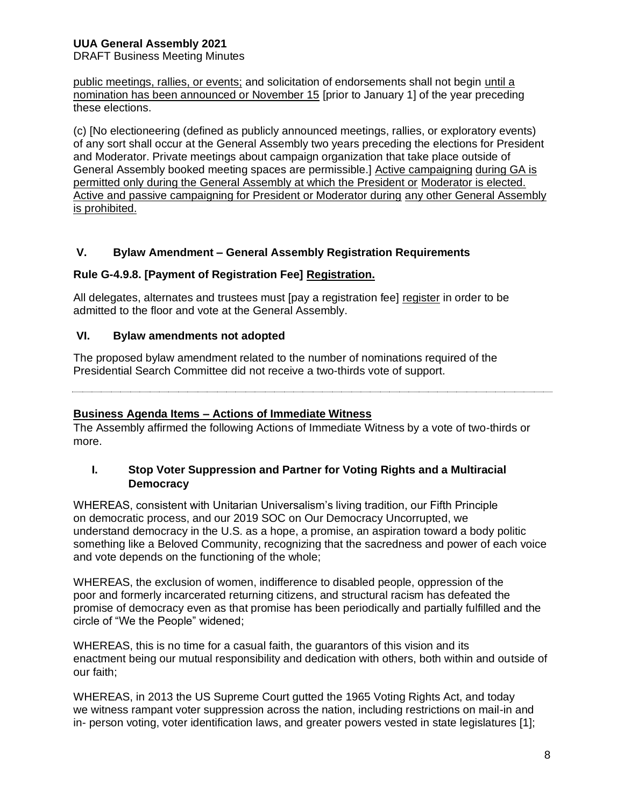DRAFT Business Meeting Minutes

public meetings, rallies, or events; and solicitation of endorsements shall not begin until a nomination has been announced or November 15 [prior to January 1] of the year preceding these elections.

(c) [No electioneering (defined as publicly announced meetings, rallies, or exploratory events) of any sort shall occur at the General Assembly two years preceding the elections for President and Moderator. Private meetings about campaign organization that take place outside of General Assembly booked meeting spaces are permissible.] Active campaigning during GA is permitted only during the General Assembly at which the President or Moderator is elected. Active and passive campaigning for President or Moderator during any other General Assembly is prohibited.

## **V. Bylaw Amendment – General Assembly Registration Requirements**

## **Rule G-4.9.8. [Payment of Registration Fee] Registration.**

All delegates, alternates and trustees must [pay a registration fee] register in order to be admitted to the floor and vote at the General Assembly.

## **VI. Bylaw amendments not adopted**

The proposed bylaw amendment related to the number of nominations required of the Presidential Search Committee did not receive a two-thirds vote of support.

## **Business Agenda Items – Actions of Immediate Witness**

The Assembly affirmed the following Actions of Immediate Witness by a vote of two-thirds or more.

## **I. Stop Voter Suppression and Partner for Voting Rights and a Multiracial Democracy**

WHEREAS, consistent with Unitarian Universalism's living tradition, our Fifth Principle on democratic process, and our 2019 SOC on Our Democracy Uncorrupted, we understand democracy in the U.S. as a hope, a promise, an aspiration toward a body politic something like a Beloved Community, recognizing that the sacredness and power of each voice and vote depends on the functioning of the whole;

WHEREAS, the exclusion of women, indifference to disabled people, oppression of the poor and formerly incarcerated returning citizens, and structural racism has defeated the promise of democracy even as that promise has been periodically and partially fulfilled and the circle of "We the People" widened;

WHEREAS, this is no time for a casual faith, the guarantors of this vision and its enactment being our mutual responsibility and dedication with others, both within and outside of our faith;

WHEREAS, in 2013 the US Supreme Court gutted the 1965 Voting Rights Act, and today we witness rampant voter suppression across the nation, including restrictions on mail-in and in- person voting, voter identification laws, and greater powers vested in state legislatures [1];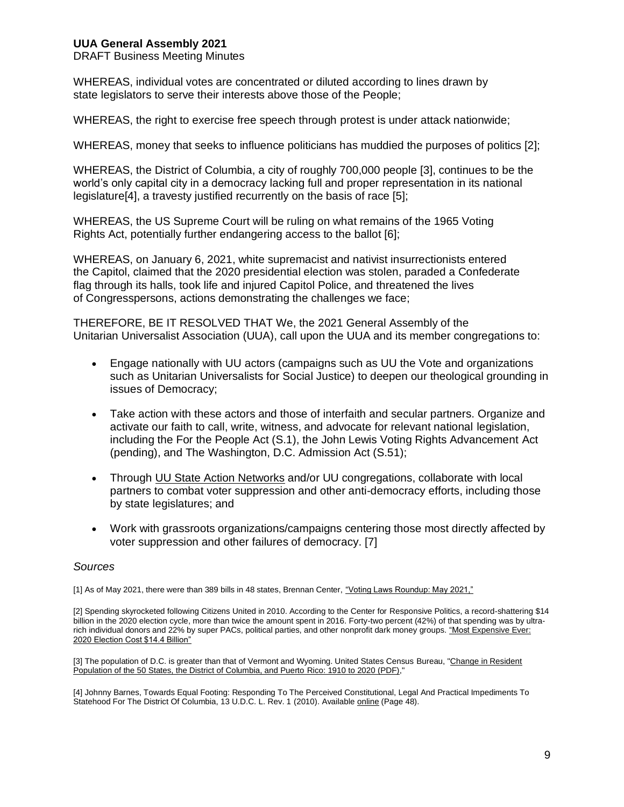DRAFT Business Meeting Minutes

WHEREAS, individual votes are concentrated or diluted according to lines drawn by state legislators to serve their interests above those of the People;

WHEREAS, the right to exercise free speech through protest is under attack nationwide;

WHEREAS, money that seeks to influence politicians has muddied the purposes of politics [2];

WHEREAS, the District of Columbia, a city of roughly 700,000 people [3], continues to be the world's only capital city in a democracy lacking full and proper representation in its national legislature[4], a travesty justified recurrently on the basis of race [5];

WHEREAS, the US Supreme Court will be ruling on what remains of the 1965 Voting Rights Act, potentially further endangering access to the ballot [6];

WHEREAS, on January 6, 2021, white supremacist and nativist insurrectionists entered the Capitol, claimed that the 2020 presidential election was stolen, paraded a Confederate flag through its halls, took life and injured Capitol Police, and threatened the lives of Congresspersons, actions demonstrating the challenges we face;

THEREFORE, BE IT RESOLVED THAT We, the 2021 General Assembly of the Unitarian Universalist Association (UUA), call upon the UUA and its member congregations to:

- Engage nationally with UU actors (campaigns such as UU the Vote and organizations such as Unitarian Universalists for Social Justice) to deepen our theological grounding in issues of Democracy;
- Take action with these actors and those of interfaith and secular partners. Organize and activate our faith to call, write, witness, and advocate for relevant national legislation, including the For the People Act (S.1), the John Lewis Voting Rights Advancement Act (pending), and The Washington, D.C. Admission Act (S.51);
- Through [UU State Action Networks](https://cuusan.org/) and/or UU congregations, collaborate with local partners to combat voter suppression and other anti-democracy efforts, including those by state legislatures; and
- Work with grassroots organizations/campaigns centering those most directly affected by voter suppression and other failures of democracy. [7]

#### *Sources*

[1] As of May 2021, there were than 389 bills in 48 states, Brennan Center, "Voting Laws [Roundup: May 2021,"](https://www.brennancenter.org/our-work/research-reports/voting-laws-%20roundup-may-2021)

[2] Spending skyrocketed following Citizens United in 2010. According to the Center for Responsive Politics, a record-shattering \$14 billion in the 2020 election cycle, more than twice the amount spent in 2016. Forty-two percent (42%) of that spending was by ultrarich individual donors and 22% by super PACs, political parties, and other nonprofit dark money groups. "Most [Expensive Ever:](https://www.opensecrets.org/news/2021/02/2020-cycle-cost-14p4-billion-doubling-16/)  [2020 Election Cost \\$14.4 Billion"](https://www.opensecrets.org/news/2021/02/2020-cycle-cost-14p4-billion-doubling-16/)

[3] The population of D.C. is greater than that of Vermont and Wyoming. United States Census Bureau, "Change in Resident [Population of the 50 States, the District of Columbia, and Puerto](https://www2.census.gov/programs-%20surveys/decennial/2020/data/apportionment/population-change-data-table.pdf) Rico: 1910 to 2020 (PDF),"

[4] Johnny Barnes, Towards Equal Footing: Responding To The Perceived Constitutional, Legal And Practical Impediments To Statehood For The District Of Columbia, 13 U.D.C. L. Rev. 1 (2010). Available [online](https://digitalcommons.law.udc.edu/udclr/vol13/iss1/2) (Page 48).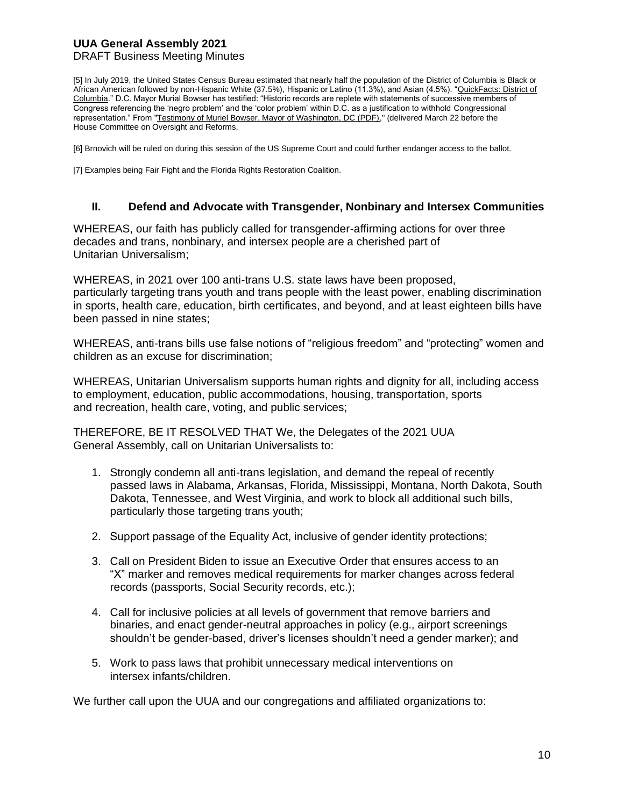#### DRAFT Business Meeting Minutes

[5] In July 2019, the United States Census Bureau estimated that nearly half the population of the District of Columbia is Black or African American followed by non-Hispanic White (37.5%), Hispanic or Latino (11.3%), and Asian (4.5%). "QuickFacts: District of [Columbia.](https://www.census.gov/quickfacts/DC)" D.C. Mayor Murial Bowser has testified: "Historic records are replete with statements of successive members of Congress referencing the 'negro problem' and the 'color problem' within D.C. as a justification to withhold Congressional representation." From ["Testimony of Muriel Bowser, Mayor of Washington, DC \(PDF\),"](https://docs.house.gov/meetings/GO/GO00/20210322/111360/HHRG-117-GO00-Wstate-%20BowserM-20210322.pdf) (delivered March 22 before the House Committee on Oversight and Reforms,

[6] Brnovich will be ruled on during this session of the US Supreme Court and could further endanger access to the ballot.

[7] Examples being Fair Fight and the Florida Rights Restoration Coalition.

#### **II. Defend and Advocate with Transgender, Nonbinary and Intersex Communities**

WHEREAS, our faith has publicly called for transgender-affirming actions for over three decades and trans, nonbinary, and intersex people are a cherished part of Unitarian Universalism;

WHEREAS, in 2021 over 100 anti-trans U.S. state laws have been proposed, particularly targeting trans youth and trans people with the least power, enabling discrimination in sports, health care, education, birth certificates, and beyond, and at least eighteen bills have been passed in nine states;

WHEREAS, anti-trans bills use false notions of "religious freedom" and "protecting" women and children as an excuse for discrimination;

WHEREAS, Unitarian Universalism supports human rights and dignity for all, including access to employment, education, public accommodations, housing, transportation, sports and recreation, health care, voting, and public services;

THEREFORE, BE IT RESOLVED THAT We, the Delegates of the 2021 UUA General Assembly, call on Unitarian Universalists to:

- 1. Strongly condemn all anti-trans legislation, and demand the repeal of recently passed laws in Alabama, Arkansas, Florida, Mississippi, Montana, North Dakota, South Dakota, Tennessee, and West Virginia, and work to block all additional such bills, particularly those targeting trans youth;
- 2. Support passage of the Equality Act, inclusive of gender identity protections;
- 3. Call on President Biden to issue an Executive Order that ensures access to an "X" marker and removes medical requirements for marker changes across federal records (passports, Social Security records, etc.);
- 4. Call for inclusive policies at all levels of government that remove barriers and binaries, and enact gender-neutral approaches in policy (e.g., airport screenings shouldn't be gender-based, driver's licenses shouldn't need a gender marker); and
- 5. Work to pass laws that prohibit unnecessary medical interventions on intersex infants/children.

We further call upon the UUA and our congregations and affiliated organizations to: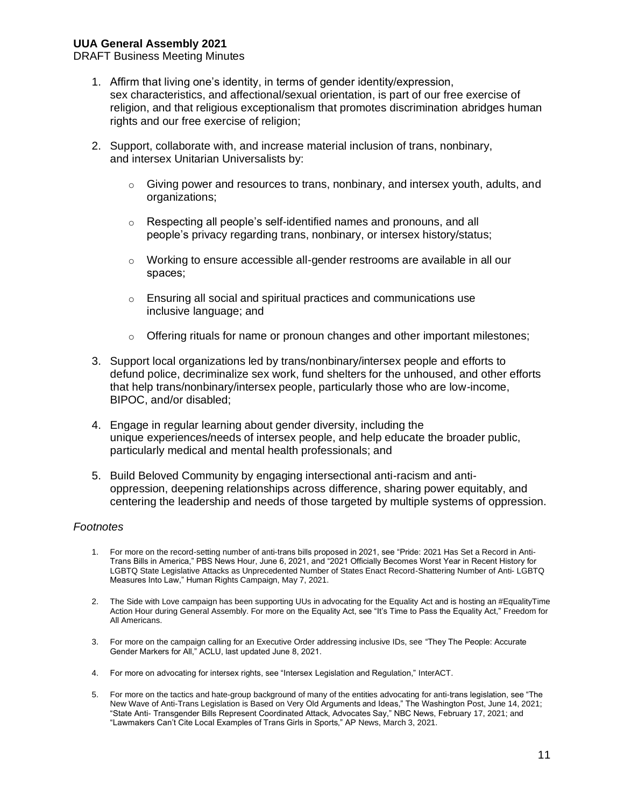DRAFT Business Meeting Minutes

- 1. Affirm that living one's identity, in terms of gender identity/expression, sex characteristics, and affectional/sexual orientation, is part of our free exercise of religion, and that religious exceptionalism that promotes discrimination abridges human rights and our free exercise of religion;
- 2. Support, collaborate with, and increase material inclusion of trans, nonbinary, and intersex Unitarian Universalists by:
	- $\circ$  Giving power and resources to trans, nonbinary, and intersex youth, adults, and organizations;
	- o Respecting all people's self-identified names and pronouns, and all people's privacy regarding trans, nonbinary, or intersex history/status;
	- $\circ$  Working to ensure accessible all-gender restrooms are available in all our spaces;
	- o Ensuring all social and spiritual practices and communications use inclusive language; and
	- $\circ$  Offering rituals for name or pronoun changes and other important milestones;
- 3. Support local organizations led by trans/nonbinary/intersex people and efforts to defund police, decriminalize sex work, fund shelters for the unhoused, and other efforts that help trans/nonbinary/intersex people, particularly those who are low-income, BIPOC, and/or disabled;
- 4. Engage in regular learning about gender diversity, including the unique experiences/needs of intersex people, and help educate the broader public, particularly medical and mental health professionals; and
- 5. Build Beloved Community by engaging intersectional anti-racism and antioppression, deepening relationships across difference, sharing power equitably, and centering the leadership and needs of those targeted by multiple systems of oppression.

#### *Footnotes*

- 1. For more on the record-setting number of anti-trans bills proposed in 2021, see "Pride: 2021 Has Set a Record in Anti-Trans Bills in America," PBS News Hour, June 6, 2021, and "2021 Officially Becomes Worst Year in Recent History for LGBTQ State Legislative Attacks as Unprecedented Number of States Enact Record-Shattering Number of Anti- LGBTQ Measures Into Law," Human Rights Campaign, May 7, 2021.
- 2. The Side with Love campaign has been supporting UUs in advocating for the Equality Act and is hosting an #EqualityTime Action Hour during General Assembly. For more on the Equality Act, see "It's Time to Pass the Equality Act," Freedom for All Americans.
- 3. For more on the campaign calling for an Executive Order addressing inclusive IDs, see "They The People: Accurate Gender Markers for All," ACLU, last updated June 8, 2021.
- 4. For more on advocating for intersex rights, see "Intersex Legislation and Regulation," InterACT.
- 5. For more on the tactics and hate-group background of many of the entities advocating for anti-trans legislation, see "The New Wave of Anti-Trans Legislation is Based on Very Old Arguments and Ideas," The Washington Post, June 14, 2021; "State Anti- Transgender Bills Represent Coordinated Attack, Advocates Say," NBC News, February 17, 2021; and "Lawmakers Can't Cite Local Examples of Trans Girls in Sports," AP News, March 3, 2021.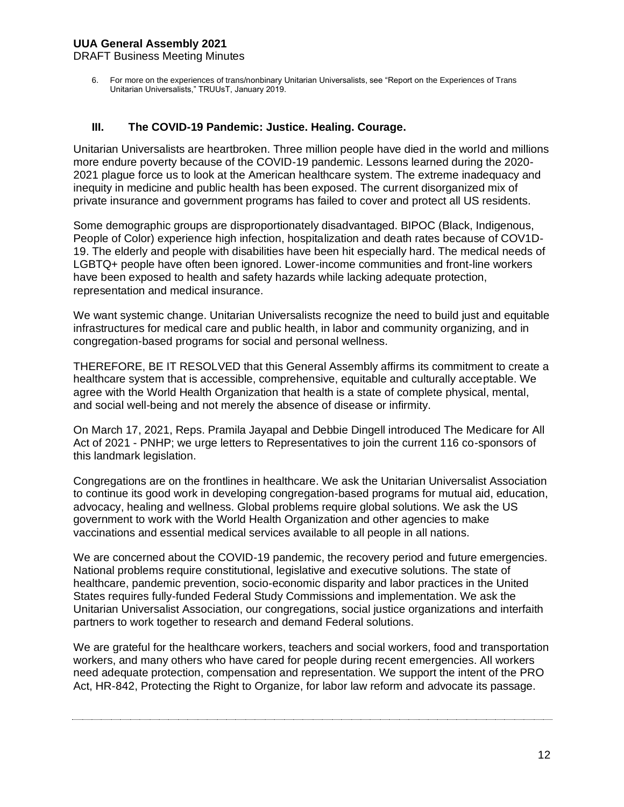DRAFT Business Meeting Minutes

6. For more on the experiences of trans/nonbinary Unitarian Universalists, see "Report on the Experiences of Trans Unitarian Universalists," TRUUsT, January 2019.

#### **III. The COVID-19 Pandemic: Justice. Healing. Courage.**

Unitarian Universalists are heartbroken. Three million people have died in the world and millions more endure poverty because of the COVID-19 pandemic. Lessons learned during the 2020- 2021 plague force us to look at the American healthcare system. The extreme inadequacy and inequity in medicine and public health has been exposed. The current disorganized mix of private insurance and government programs has failed to cover and protect all US residents.

Some demographic groups are disproportionately disadvantaged. BIPOC (Black, Indigenous, People of Color) experience high infection, hospitalization and death rates because of COV1D-19. The elderly and people with disabilities have been hit especially hard. The medical needs of LGBTQ+ people have often been ignored. Lower-income communities and front-line workers have been exposed to health and safety hazards while lacking adequate protection, representation and medical insurance.

We want systemic change. Unitarian Universalists recognize the need to build just and equitable infrastructures for medical care and public health, in labor and community organizing, and in congregation-based programs for social and personal wellness.

THEREFORE, BE IT RESOLVED that this General Assembly affirms its commitment to create a healthcare system that is accessible, comprehensive, equitable and culturally acceptable. We agree with the World Health Organization that health is a state of complete physical, mental, and social well-being and not merely the absence of disease or infirmity.

On March 17, 2021, Reps. Pramila Jayapal and Debbie Dingell introduced The Medicare for All Act of 2021 - PNHP; we urge letters to Representatives to join the current 116 co-sponsors of this landmark legislation.

Congregations are on the frontlines in healthcare. We ask the Unitarian Universalist Association to continue its good work in developing congregation-based programs for mutual aid, education, advocacy, healing and wellness. Global problems require global solutions. We ask the US government to work with the World Health Organization and other agencies to make vaccinations and essential medical services available to all people in all nations.

We are concerned about the COVID-19 pandemic, the recovery period and future emergencies. National problems require constitutional, legislative and executive solutions. The state of healthcare, pandemic prevention, socio-economic disparity and labor practices in the United States requires fully-funded Federal Study Commissions and implementation. We ask the Unitarian Universalist Association, our congregations, social justice organizations and interfaith partners to work together to research and demand Federal solutions.

We are grateful for the healthcare workers, teachers and social workers, food and transportation workers, and many others who have cared for people during recent emergencies. All workers need adequate protection, compensation and representation. We support the intent of the PRO Act, HR-842, Protecting the Right to Organize, for labor law reform and advocate its passage.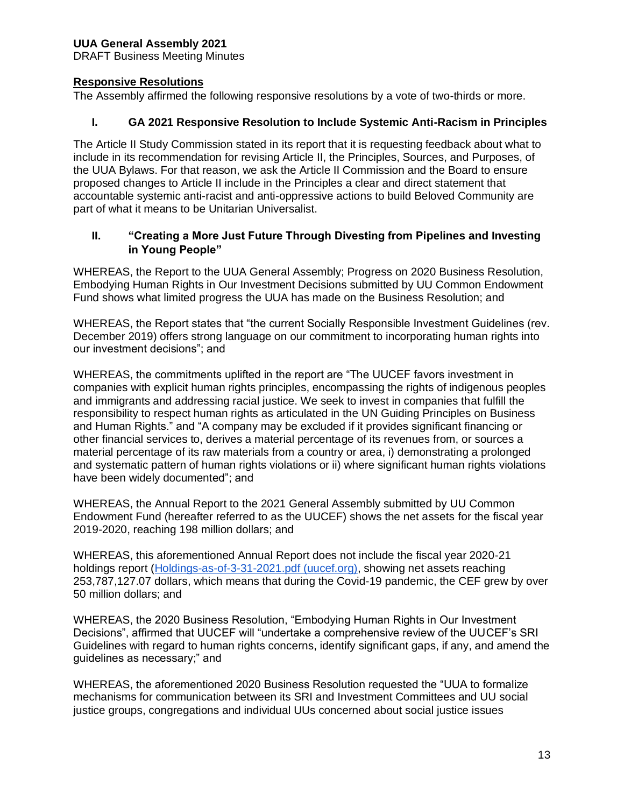DRAFT Business Meeting Minutes

## **Responsive Resolutions**

The Assembly affirmed the following responsive resolutions by a vote of two-thirds or more.

# **I. GA 2021 Responsive Resolution to Include Systemic Anti-Racism in Principles**

The Article II Study Commission stated in its report that it is requesting feedback about what to include in its recommendation for revising Article II, the Principles, Sources, and Purposes, of the UUA Bylaws. For that reason, we ask the Article II Commission and the Board to ensure proposed changes to Article II include in the Principles a clear and direct statement that accountable systemic anti-racist and anti-oppressive actions to build Beloved Community are part of what it means to be Unitarian Universalist.

## **II. "Creating a More Just Future Through Divesting from Pipelines and Investing in Young People"**

WHEREAS, the Report to the UUA General Assembly; Progress on 2020 Business Resolution, Embodying Human Rights in Our Investment Decisions submitted by UU Common Endowment Fund shows what limited progress the UUA has made on the Business Resolution; and

WHEREAS, the Report states that "the current Socially Responsible Investment Guidelines (rev. December 2019) offers strong language on our commitment to incorporating human rights into our investment decisions"; and

WHEREAS, the commitments uplifted in the report are "The UUCEF favors investment in companies with explicit human rights principles, encompassing the rights of indigenous peoples and immigrants and addressing racial justice. We seek to invest in companies that fulfill the responsibility to respect human rights as articulated in the UN Guiding Principles on Business and Human Rights." and "A company may be excluded if it provides significant financing or other financial services to, derives a material percentage of its revenues from, or sources a material percentage of its raw materials from a country or area, i) demonstrating a prolonged and systematic pattern of human rights violations or ii) where significant human rights violations have been widely documented"; and

WHEREAS, the Annual Report to the 2021 General Assembly submitted by UU Common Endowment Fund (hereafter referred to as the UUCEF) shows the net assets for the fiscal year 2019-2020, reaching 198 million dollars; and

WHEREAS, this aforementioned Annual Report does not include the fiscal year 2020-21 holdings report [\(Holdings-as-of-3-31-2021.pdf \(uucef.org\),](https://uucef.org/files/2021/04/Holdings-as-of-3-31-2021.pdf) showing net assets reaching 253,787,127.07 dollars, which means that during the Covid-19 pandemic, the CEF grew by over 50 million dollars; and

WHEREAS, the 2020 Business Resolution, "Embodying Human Rights in Our Investment Decisions", affirmed that UUCEF will "undertake a comprehensive review of the UUCEF's SRI Guidelines with regard to human rights concerns, identify significant gaps, if any, and amend the guidelines as necessary;" and

WHEREAS, the aforementioned 2020 Business Resolution requested the "UUA to formalize mechanisms for communication between its SRI and Investment Committees and UU social justice groups, congregations and individual UUs concerned about social justice issues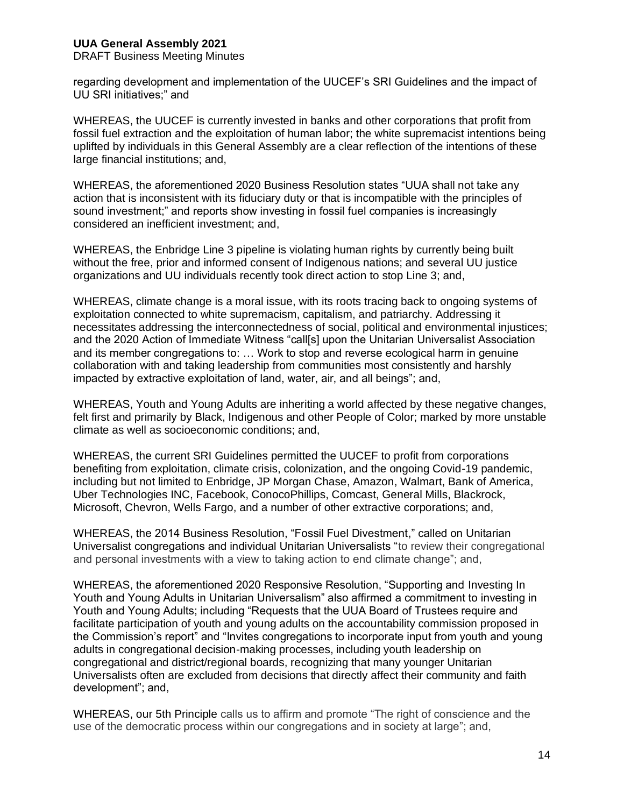DRAFT Business Meeting Minutes

regarding development and implementation of the UUCEF's SRI Guidelines and the impact of UU SRI initiatives;" and

WHEREAS, the UUCEF is currently invested in banks and other corporations that profit from fossil fuel extraction and the exploitation of human labor; the white supremacist intentions being uplifted by individuals in this General Assembly are a clear reflection of the intentions of these large financial institutions; and,

WHEREAS, the aforementioned 2020 Business Resolution states "UUA shall not take any action that is inconsistent with its fiduciary duty or that is incompatible with the principles of sound investment;" and reports show investing in fossil fuel companies is increasingly considered an inefficient investment; and,

WHEREAS, the Enbridge Line 3 pipeline is violating human rights by currently being built without the free, prior and informed consent of Indigenous nations; and several UU justice organizations and UU individuals recently took direct action to stop Line 3; and,

WHEREAS, climate change is a moral issue, with its roots tracing back to ongoing systems of exploitation connected to white supremacism, capitalism, and patriarchy. Addressing it necessitates addressing the interconnectedness of social, political and environmental injustices; and the 2020 Action of Immediate Witness "call[s] upon the Unitarian Universalist Association and its member congregations to: … Work to stop and reverse ecological harm in genuine collaboration with and taking leadership from communities most consistently and harshly impacted by extractive exploitation of land, water, air, and all beings"; and,

WHEREAS, Youth and Young Adults are inheriting a world affected by these negative changes, felt first and primarily by Black, Indigenous and other People of Color; marked by more unstable climate as well as socioeconomic conditions; and,

WHEREAS, the current SRI Guidelines permitted the UUCEF to profit from corporations benefiting from exploitation, climate crisis, colonization, and the ongoing Covid-19 pandemic, including but not limited to Enbridge, JP Morgan Chase, Amazon, Walmart, Bank of America, Uber Technologies INC, Facebook, ConocoPhillips, Comcast, General Mills, Blackrock, Microsoft, Chevron, Wells Fargo, and a number of other extractive corporations; and,

WHEREAS, the 2014 Business Resolution, "Fossil Fuel Divestment," called on Unitarian Universalist congregations and individual Unitarian Universalists "to review their congregational and personal investments with a view to taking action to end climate change"; and,

WHEREAS, the aforementioned 2020 Responsive Resolution, "Supporting and Investing In Youth and Young Adults in Unitarian Universalism" also affirmed a commitment to investing in Youth and Young Adults; including "Requests that the UUA Board of Trustees require and facilitate participation of youth and young adults on the accountability commission proposed in the Commission's report" and "Invites congregations to incorporate input from youth and young adults in congregational decision-making processes, including youth leadership on congregational and district/regional boards, recognizing that many younger Unitarian Universalists often are excluded from decisions that directly affect their community and faith development"; and,

WHEREAS, our 5th Principle calls us to affirm and promote "The right of conscience and the use of the democratic process within our congregations and in society at large"; and,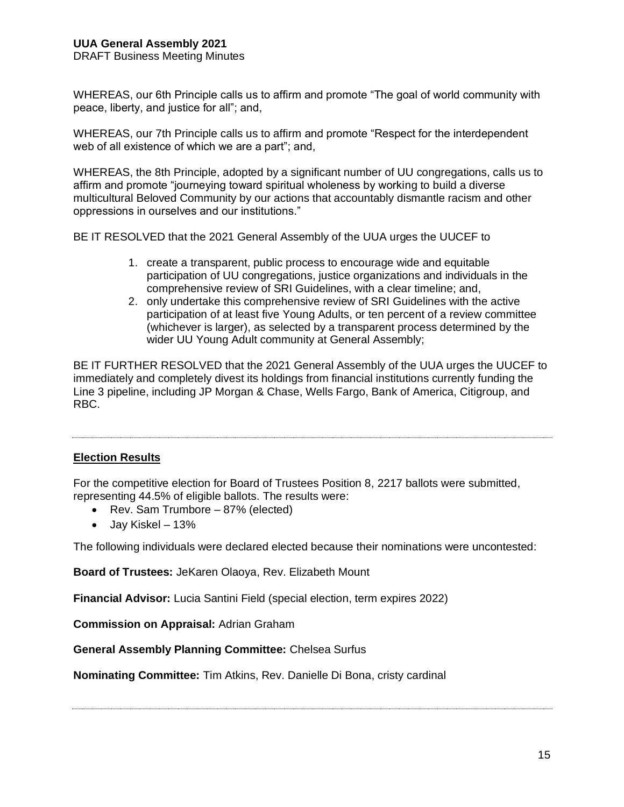DRAFT Business Meeting Minutes

WHEREAS, our 6th Principle calls us to affirm and promote "The goal of world community with peace, liberty, and justice for all"; and,

WHEREAS, our 7th Principle calls us to affirm and promote "Respect for the interdependent web of all existence of which we are a part"; and,

WHEREAS, the 8th Principle, adopted by a significant number of UU congregations, calls us to affirm and promote "journeying toward spiritual wholeness by working to build a diverse multicultural Beloved Community by our actions that accountably dismantle racism and other oppressions in ourselves and our institutions."

BE IT RESOLVED that the 2021 General Assembly of the UUA urges the UUCEF to

- 1. create a transparent, public process to encourage wide and equitable participation of UU congregations, justice organizations and individuals in the comprehensive review of SRI Guidelines, with a clear timeline; and,
- 2. only undertake this comprehensive review of SRI Guidelines with the active participation of at least five Young Adults, or ten percent of a review committee (whichever is larger), as selected by a transparent process determined by the wider UU Young Adult community at General Assembly;

BE IT FURTHER RESOLVED that the 2021 General Assembly of the UUA urges the UUCEF to immediately and completely divest its holdings from financial institutions currently funding the Line 3 pipeline, including JP Morgan & Chase, Wells Fargo, Bank of America, Citigroup, and RBC.

## **Election Results**

For the competitive election for Board of Trustees Position 8, 2217 ballots were submitted, representing 44.5% of eligible ballots. The results were:

- Rev. Sam Trumbore 87% (elected)
- Jay Kiskel 13%

The following individuals were declared elected because their nominations were uncontested:

**Board of Trustees:** JeKaren Olaoya, Rev. Elizabeth Mount

**Financial Advisor:** Lucia Santini Field (special election, term expires 2022)

**Commission on Appraisal:** Adrian Graham

**General Assembly Planning Committee:** Chelsea Surfus

**Nominating Committee:** Tim Atkins, Rev. Danielle Di Bona, cristy cardinal